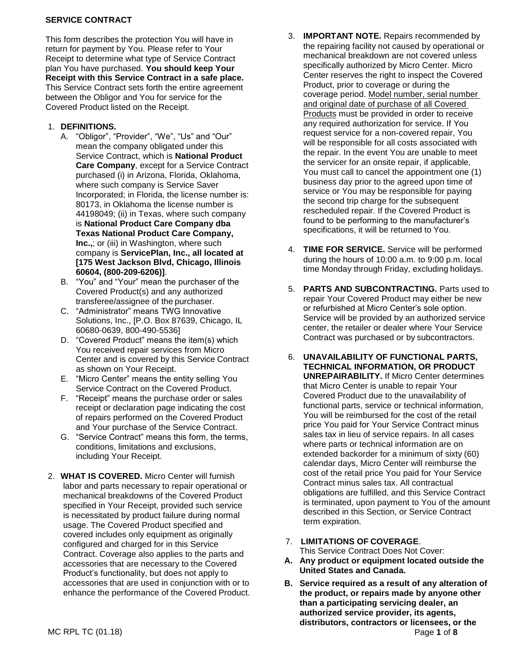## **SERVICE CONTRACT**

This form describes the protection You will have in return for payment by You. Please refer to Your Receipt to determine what type of Service Contract plan You have purchased. **You should keep Your Receipt with this Service Contract in a safe place.**  This Service Contract sets forth the entire agreement between the Obligor and You for service for the Covered Product listed on the Receipt.

## 1. **DEFINITIONS.**

- A. "Obligor", "Provider", "We", "Us" and "Our" mean the company obligated under this Service Contract, which is **National Product Care Company**, except for a Service Contract purchased (i) in Arizona, Florida, Oklahoma, where such company is Service Saver Incorporated; in Florida, the license number is: 80173, in Oklahoma the license number is 44198049; (ii) in Texas, where such company is **National Product Care Company dba Texas National Product Care Company, Inc.,;** or (iii) in Washington, where such company is **ServicePlan, Inc., all located at [175 West Jackson Blvd, Chicago, Illinois 60604, (800-209-6206)]**.
- B. "You" and "Your" mean the purchaser of the Covered Product(s) and any authorized transferee/assignee of the purchaser.
- C. "Administrator" means TWG Innovative Solutions, Inc., [P.O. Box 87639, Chicago, IL 60680-0639, 800-490-5536]
- D. "Covered Product" means the item(s) which You received repair services from Micro Center and is covered by this Service Contract as shown on Your Receipt.
- E. "Micro Center" means the entity selling You Service Contract on the Covered Product.
- F. "Receipt" means the purchase order or sales receipt or declaration page indicating the cost of repairs performed on the Covered Product and Your purchase of the Service Contract.
- G. "Service Contract" means this form, the terms, conditions, limitations and exclusions, including Your Receipt.
- 2. **WHAT IS COVERED.** Micro Center will furnish labor and parts necessary to repair operational or mechanical breakdowns of the Covered Product specified in Your Receipt, provided such service is necessitated by product failure during normal usage. The Covered Product specified and covered includes only equipment as originally configured and charged for in this Service Contract. Coverage also applies to the parts and accessories that are necessary to the Covered Product's functionality, but does not apply to accessories that are used in conjunction with or to enhance the performance of the Covered Product.
- 3. **IMPORTANT NOTE.** Repairs recommended by the repairing facility not caused by operational or mechanical breakdown are not covered unless specifically authorized by Micro Center. Micro Center reserves the right to inspect the Covered Product, prior to coverage or during the coverage period. Model number, serial number and original date of purchase of all Covered Products must be provided in order to receive any required authorization for service. If You request service for a non-covered repair, You will be responsible for all costs associated with the repair. In the event You are unable to meet the servicer for an onsite repair, if applicable, You must call to cancel the appointment one (1) business day prior to the agreed upon time of service or You may be responsible for paying the second trip charge for the subsequent rescheduled repair. If the Covered Product is found to be performing to the manufacturer's specifications, it will be returned to You.
- 4. **TIME FOR SERVICE.** Service will be performed during the hours of 10:00 a.m. to 9:00 p.m. local time Monday through Friday, excluding holidays.
- 5. **PARTS AND SUBCONTRACTING.** Parts used to repair Your Covered Product may either be new or refurbished at Micro Center's sole option. Service will be provided by an authorized service center, the retailer or dealer where Your Service Contract was purchased or by subcontractors.
- 6. **UNAVAILABILITY OF FUNCTIONAL PARTS, TECHNICAL INFORMATION, OR PRODUCT UNREPAIRABILITY.** If Micro Center determines that Micro Center is unable to repair Your Covered Product due to the unavailability of functional parts, service or technical information, You will be reimbursed for the cost of the retail price You paid for Your Service Contract minus sales tax in lieu of service repairs. In all cases where parts or technical information are on extended backorder for a minimum of sixty (60) calendar days, Micro Center will reimburse the cost of the retail price You paid for Your Service Contract minus sales tax. All contractual obligations are fulfilled, and this Service Contract is terminated, upon payment to You of the amount described in this Section, or Service Contract term expiration.
- 7. **LIMITATIONS OF COVERAGE**.
	- This Service Contract Does Not Cover:
- **A. Any product or equipment located outside the United States and Canada.**
- MC RPL TC (01.18) Page **1** of **8 B. Service required as a result of any alteration of the product, or repairs made by anyone other than a participating servicing dealer, an authorized service provider, its agents, distributors, contractors or licensees, or the**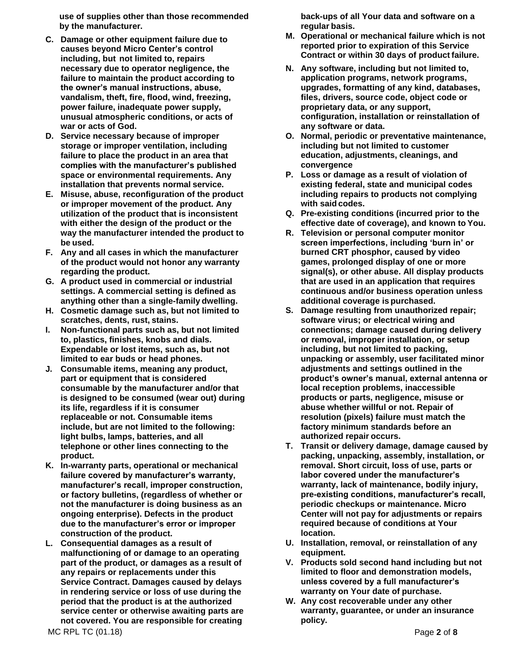**use of supplies other than those recommended by the manufacturer.**

- **C. Damage or other equipment failure due to causes beyond Micro Center's control including, but not limited to, repairs necessary due to operator negligence, the failure to maintain the product according to the owner's manual instructions, abuse, vandalism, theft, fire, flood, wind, freezing, power failure, inadequate power supply, unusual atmospheric conditions, or acts of war or acts of God.**
- **D. Service necessary because of improper storage or improper ventilation, including failure to place the product in an area that complies with the manufacturer's published space or environmental requirements. Any installation that prevents normal service.**
- **E. Misuse, abuse, reconfiguration of the product or improper movement of the product. Any utilization of the product that is inconsistent with either the design of the product or the way the manufacturer intended the product to be used.**
- **F. Any and all cases in which the manufacturer of the product would not honor any warranty regarding the product.**
- **G. A product used in commercial or industrial settings. A commercial setting is defined as anything other than a single-family dwelling.**
- **H. Cosmetic damage such as, but not limited to scratches, dents, rust, stains.**
- **I. Non-functional parts such as, but not limited to, plastics, finishes, knobs and dials. Expendable or lost items, such as, but not limited to ear buds or head phones.**
- **J. Consumable items, meaning any product, part or equipment that is considered consumable by the manufacturer and/or that is designed to be consumed (wear out) during its life, regardless if it is consumer replaceable or not. Consumable items include, but are not limited to the following: light bulbs, lamps, batteries, and all telephone or other lines connecting to the product.**
- **K. In-warranty parts, operational or mechanical failure covered by manufacturer's warranty, manufacturer's recall, improper construction, or factory bulletins, (regardless of whether or not the manufacturer is doing business as an ongoing enterprise). Defects in the product due to the manufacturer's error or improper construction of the product.**
- **L. Consequential damages as a result of malfunctioning of or damage to an operating part of the product, or damages as a result of any repairs or replacements under this Service Contract. Damages caused by delays in rendering service or loss of use during the period that the product is at the authorized service center or otherwise awaiting parts are not covered. You are responsible for creating**

**back-ups of all Your data and software on a regular basis.**

- **M. Operational or mechanical failure which is not reported prior to expiration of this Service Contract or within 30 days of product failure.**
- **N. Any software, including but not limited to, application programs, network programs, upgrades, formatting of any kind, databases, files, drivers, source code, object code or proprietary data, or any support, configuration, installation or reinstallation of any software or data.**
- **O. Normal, periodic or preventative maintenance, including but not limited to customer education, adjustments, cleanings, and convergence**
- **P. Loss or damage as a result of violation of existing federal, state and municipal codes including repairs to products not complying with said codes.**
- **Q. Pre-existing conditions (incurred prior to the effective date of coverage), and known to You.**
- **R. Television or personal computer monitor screen imperfections, including 'burn in' or burned CRT phosphor, caused by video games, prolonged display of one or more signal(s), or other abuse. All display products that are used in an application that requires continuous and/or business operation unless additional coverage is purchased.**
- **S. Damage resulting from unauthorized repair; software virus; or electrical wiring and connections; damage caused during delivery or removal, improper installation, or setup including, but not limited to packing, unpacking or assembly, user facilitated minor adjustments and settings outlined in the product's owner's manual, external antenna or local reception problems, inaccessible products or parts, negligence, misuse or abuse whether willful or not. Repair of resolution (pixels) failure must match the factory minimum standards before an authorized repair occurs.**
- **T. Transit or delivery damage, damage caused by packing, unpacking, assembly, installation, or removal. Short circuit, loss of use, parts or labor covered under the manufacturer's warranty, lack of maintenance, bodily injury, pre-existing conditions, manufacturer's recall, periodic checkups or maintenance. Micro Center will not pay for adjustments or repairs required because of conditions at Your location.**
- **U. Installation, removal, or reinstallation of any equipment.**
- **V. Products sold second hand including but not limited to floor and demonstration models, unless covered by a full manufacturer's warranty on Your date of purchase.**
- **W. Any cost recoverable under any other warranty, guarantee, or under an insurance policy.**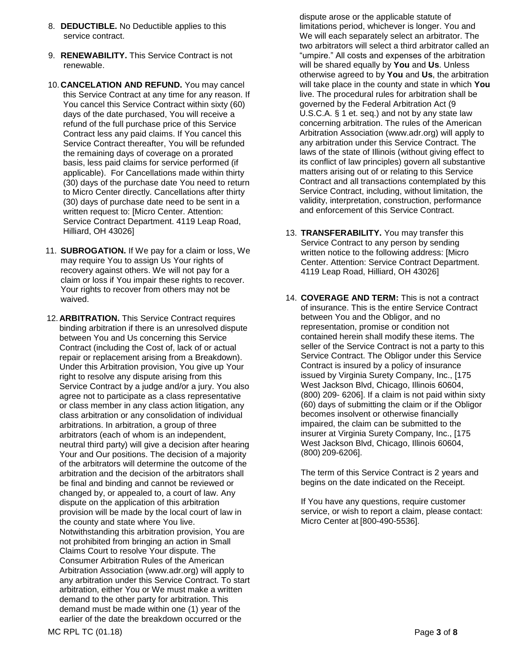- 8. **DEDUCTIBLE.** No Deductible applies to this service contract.
- 9. **RENEWABILITY.** This Service Contract is not renewable.
- 10. **CANCELATION AND REFUND.** You may cancel this Service Contract at any time for any reason. If You cancel this Service Contract within sixty (60) days of the date purchased, You will receive a refund of the full purchase price of this Service Contract less any paid claims. If You cancel this Service Contract thereafter, You will be refunded the remaining days of coverage on a prorated basis, less paid claims for service performed (if applicable). For Cancellations made within thirty (30) days of the purchase date You need to return to Micro Center directly. Cancellations after thirty (30) days of purchase date need to be sent in a written request to: [Micro Center. Attention: Service Contract Department. 4119 Leap Road, Hilliard, OH 43026]
- 11. **SUBROGATION.** If We pay for a claim or loss, We may require You to assign Us Your rights of recovery against others. We will not pay for a claim or loss if You impair these rights to recover. Your rights to recover from others may not be waived.
- 12. **ARBITRATION.** This Service Contract requires binding arbitration if there is an unresolved dispute between You and Us concerning this Service Contract (including the Cost of, lack of or actual repair or replacement arising from a Breakdown). Under this Arbitration provision, You give up Your right to resolve any dispute arising from this Service Contract by a judge and/or a jury. You also agree not to participate as a class representative or class member in any class action litigation, any class arbitration or any consolidation of individual arbitrations. In arbitration, a group of three arbitrators (each of whom is an independent, neutral third party) will give a decision after hearing Your and Our positions. The decision of a majority of the arbitrators will determine the outcome of the arbitration and the decision of the arbitrators shall be final and binding and cannot be reviewed or changed by, or appealed to, a court of law. Any dispute on the application of this arbitration provision will be made by the local court of law in the county and state where You live. Notwithstanding this arbitration provision, You are not prohibited from bringing an action in Small Claims Court to resolve Your dispute. The Consumer Arbitration Rules of the American Arbitration Association (www.adr.org) will apply to any arbitration under this Service Contract. To start arbitration, either You or We must make a written demand to the other party for arbitration. This demand must be made within one (1) year of the earlier of the date the breakdown occurred or the

dispute arose or the applicable statute of limitations period, whichever is longer. You and We will each separately select an arbitrator. The two arbitrators will select a third arbitrator called an "umpire." All costs and expenses of the arbitration will be shared equally by **You** and **Us**. Unless otherwise agreed to by **You** and **Us**, the arbitration will take place in the county and state in which **You** live. The procedural rules for arbitration shall be governed by the Federal Arbitration Act (9 U.S.C.A. § 1 et. seq.) and not by any state law concerning arbitration. The rules of the American Arbitration Association (www.adr.org) will apply to any arbitration under this Service Contract. The laws of the state of Illinois (without giving effect to its conflict of law principles) govern all substantive matters arising out of or relating to this Service Contract and all transactions contemplated by this Service Contract, including, without limitation, the validity, interpretation, construction, performance and enforcement of this Service Contract.

- 13. **TRANSFERABILITY.** You may transfer this Service Contract to any person by sending written notice to the following address: [Micro Center. Attention: Service Contract Department. 4119 Leap Road, Hilliard, OH 43026]
- 14. **COVERAGE AND TERM:** This is not a contract of insurance. This is the entire Service Contract between You and the Obligor, and no representation, promise or condition not contained herein shall modify these items. The seller of the Service Contract is not a party to this Service Contract. The Obligor under this Service Contract is insured by a policy of insurance issued by Virginia Surety Company, Inc., [175 West Jackson Blvd, Chicago, Illinois 60604, (800) 209- 6206]. If a claim is not paid within sixty (60) days of submitting the claim or if the Obligor becomes insolvent or otherwise financially impaired, the claim can be submitted to the insurer at Virginia Surety Company, Inc., [175 West Jackson Blvd, Chicago, Illinois 60604, (800) 209-6206].

The term of this Service Contract is 2 years and begins on the date indicated on the Receipt.

If You have any questions, require customer service, or wish to report a claim, please contact: Micro Center at [800-490-5536].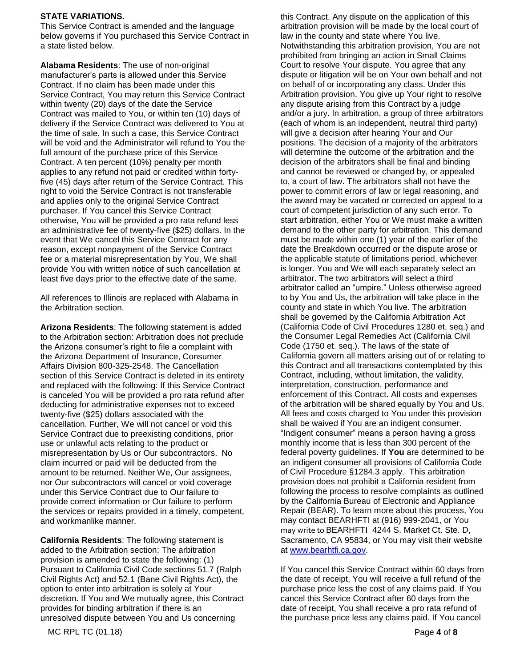## **STATE VARIATIONS.**

This Service Contract is amended and the language below governs if You purchased this Service Contract in a state listed below.

**Alabama Residents**: The use of non-original manufacturer's parts is allowed under this Service Contract. If no claim has been made under this Service Contract, You may return this Service Contract within twenty (20) days of the date the Service Contract was mailed to You, or within ten (10) days of delivery if the Service Contract was delivered to You at the time of sale. In such a case, this Service Contract will be void and the Administrator will refund to You the full amount of the purchase price of this Service Contract. A ten percent (10%) penalty per month applies to any refund not paid or credited within fortyfive (45) days after return of the Service Contract. This right to void the Service Contract is not transferable and applies only to the original Service Contract purchaser. If You cancel this Service Contract otherwise, You will be provided a pro rata refund less an administrative fee of twenty-five (\$25) dollars. In the event that We cancel this Service Contract for any reason, except nonpayment of the Service Contract fee or a material misrepresentation by You, We shall provide You with written notice of such cancellation at least five days prior to the effective date of the same.

All references to Illinois are replaced with Alabama in the Arbitration section.

**Arizona Residents**: The following statement is added to the Arbitration section: Arbitration does not preclude the Arizona consumer's right to file a complaint with the Arizona Department of Insurance, Consumer Affairs Division 800-325-2548. The Cancellation section of this Service Contract is deleted in its entirety and replaced with the following: If this Service Contract is canceled You will be provided a pro rata refund after deducting for administrative expenses not to exceed twenty-five (\$25) dollars associated with the cancellation. Further, We will not cancel or void this Service Contract due to preexisting conditions, prior use or unlawful acts relating to the product or misrepresentation by Us or Our subcontractors. No claim incurred or paid will be deducted from the amount to be returned. Neither We, Our assignees, nor Our subcontractors will cancel or void coverage under this Service Contract due to Our failure to provide correct information or Our failure to perform the services or repairs provided in a timely, competent, and workmanlike manner.

**California Residents**: The following statement is added to the Arbitration section: The arbitration provision is amended to state the following: (1) Pursuant to California Civil Code sections 51.7 (Ralph Civil Rights Act) and 52.1 (Bane Civil Rights Act), the option to enter into arbitration is solely at Your discretion. If You and We mutually agree, this Contract provides for binding arbitration if there is an unresolved dispute between You and Us concerning

this Contract. Any dispute on the application of this arbitration provision will be made by the local court of law in the county and state where You live. Notwithstanding this arbitration provision, You are not prohibited from bringing an action in Small Claims Court to resolve Your dispute. You agree that any dispute or litigation will be on Your own behalf and not on behalf of or incorporating any class. Under this Arbitration provision, You give up Your right to resolve any dispute arising from this Contract by a judge and/or a jury. In arbitration, a group of three arbitrators (each of whom is an independent, neutral third party) will give a decision after hearing Your and Our positions. The decision of a majority of the arbitrators will determine the outcome of the arbitration and the decision of the arbitrators shall be final and binding and cannot be reviewed or changed by, or appealed to, a court of law. The arbitrators shall not have the power to commit errors of law or legal reasoning, and the award may be vacated or corrected on appeal to a court of competent jurisdiction of any such error. To start arbitration, either You or We must make a written demand to the other party for arbitration. This demand must be made within one (1) year of the earlier of the date the Breakdown occurred or the dispute arose or the applicable statute of limitations period, whichever is longer. You and We will each separately select an arbitrator. The two arbitrators will select a third arbitrator called an "umpire." Unless otherwise agreed to by You and Us, the arbitration will take place in the county and state in which You live. The arbitration shall be governed by the California Arbitration Act (California Code of Civil Procedures 1280 et. seq.) and the Consumer Legal Remedies Act (California Civil Code (1750 et. seq.). The laws of the state of California govern all matters arising out of or relating to this Contract and all transactions contemplated by this Contract, including, without limitation, the validity, interpretation, construction, performance and enforcement of this Contract. All costs and expenses of the arbitration will be shared equally by You and Us. All fees and costs charged to You under this provision shall be waived if You are an indigent consumer. "Indigent consumer" means a person having a gross monthly income that is less than 300 percent of the federal poverty guidelines. If **You** are determined to be an indigent consumer all provisions of California Code of Civil Procedure §1284.3 apply. This arbitration provision does not prohibit a California resident from following the process to resolve complaints as outlined by the California Bureau of Electronic and Appliance Repair (BEAR). To learn more about this process, You may contact BEARHFTI at (916) 999-2041, or You may write to BEARHFTI 4244 S. Market Ct. Ste. D, Sacramento, CA 95834, or You may visit their website at [www.bearhtfi.ca.gov.](http://www.bearhtfi.ca.gov/)

If You cancel this Service Contract within 60 days from the date of receipt, You will receive a full refund of the purchase price less the cost of any claims paid. If You cancel this Service Contract after 60 days from the date of receipt, You shall receive a pro rata refund of the purchase price less any claims paid. If You cancel

MC RPL TC (01.18) Page **4** of **8**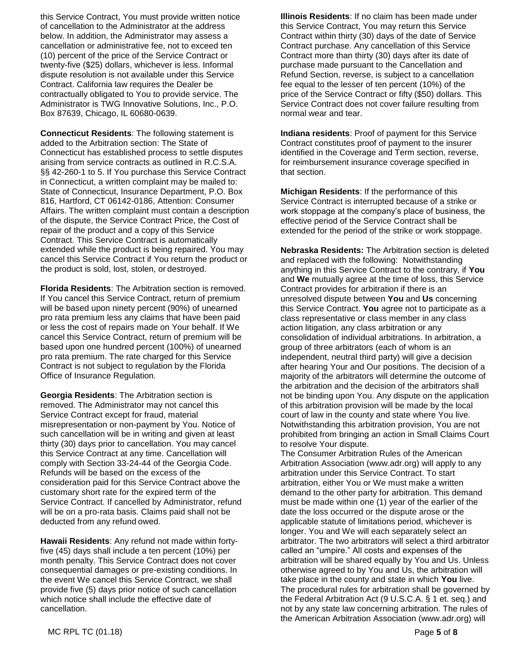this Service Contract, You must provide written notice of cancellation to the Administrator at the address below. In addition, the Administrator may assess a cancellation or administrative fee, not to exceed ten (10) percent of the price of the Service Contract or twenty-five (\$25) dollars, whichever is less. Informal dispute resolution is not available under this Service Contract. California law requires the Dealer be contractually obligated to You to provide service. The Administrator is TWG Innovative Solutions, Inc., P.O. Box 87639, Chicago, IL 60680-0639.

**Connecticut Residents**: The following statement is added to the Arbitration section: The State of Connecticut has established process to settle disputes arising from service contracts as outlined in R.C.S.A. §§ 42-260-1 to 5. If You purchase this Service Contract in Connecticut, a written complaint may be mailed to: State of Connecticut, Insurance Department, P.O. Box 816, Hartford, CT 06142-0186, Attention: Consumer Affairs. The written complaint must contain a description of the dispute, the Service Contract Price, the Cost of repair of the product and a copy of this Service Contract. This Service Contract is automatically extended while the product is being repaired. You may cancel this Service Contract if You return the product or the product is sold, lost, stolen, or destroyed.

**Florida Residents**: The Arbitration section is removed. If You cancel this Service Contract, return of premium will be based upon ninety percent (90%) of unearned pro rata premium less any claims that have been paid or less the cost of repairs made on Your behalf. If We cancel this Service Contract, return of premium will be based upon one hundred percent (100%) of unearned pro rata premium. The rate charged for this Service Contract is not subject to regulation by the Florida Office of Insurance Regulation.

**Georgia Residents**: The Arbitration section is removed. The Administrator may not cancel this Service Contract except for fraud, material misrepresentation or non-payment by You. Notice of such cancellation will be in writing and given at least thirty (30) days prior to cancellation. You may cancel this Service Contract at any time. Cancellation will comply with Section 33-24-44 of the Georgia Code. Refunds will be based on the excess of the consideration paid for this Service Contract above the customary short rate for the expired term of the Service Contract. If cancelled by Administrator, refund will be on a pro-rata basis. Claims paid shall not be deducted from any refund owed.

**Hawaii Residents**: Any refund not made within fortyfive (45) days shall include a ten percent (10%) per month penalty. This Service Contract does not cover consequential damages or pre-existing conditions. In the event We cancel this Service Contract, we shall provide five (5) days prior notice of such cancellation which notice shall include the effective date of cancellation.

**Illinois Residents**: If no claim has been made under this Service Contract, You may return this Service Contract within thirty (30) days of the date of Service Contract purchase. Any cancellation of this Service Contract more than thirty (30) days after its date of purchase made pursuant to the Cancellation and Refund Section, reverse, is subject to a cancellation fee equal to the lesser of ten percent (10%) of the price of the Service Contract or fifty (\$50) dollars. This Service Contract does not cover failure resulting from normal wear and tear.

**Indiana residents**: Proof of payment for this Service Contract constitutes proof of payment to the insurer identified in the Coverage and Term section, reverse, for reimbursement insurance coverage specified in that section.

**Michigan Residents**: If the performance of this Service Contract is interrupted because of a strike or work stoppage at the company's place of business, the effective period of the Service Contract shall be extended for the period of the strike or work stoppage.

**Nebraska Residents:** The Arbitration section is deleted and replaced with the following: Notwithstanding anything in this Service Contract to the contrary, if **You** and **We** mutually agree at the time of loss, this Service Contract provides for arbitration if there is an unresolved dispute between **You** and **Us** concerning this Service Contract. **You** agree not to participate as a class representative or class member in any class action litigation, any class arbitration or any consolidation of individual arbitrations. In arbitration, a group of three arbitrators (each of whom is an independent, neutral third party) will give a decision after hearing Your and Our positions. The decision of a majority of the arbitrators will determine the outcome of the arbitration and the decision of the arbitrators shall not be binding upon You. Any dispute on the application of this arbitration provision will be made by the local court of law in the county and state where You live. Notwithstanding this arbitration provision, You are not prohibited from bringing an action in Small Claims Court to resolve Your dispute.

The Consumer Arbitration Rules of the American Arbitration Association (www.adr.org) will apply to any arbitration under this Service Contract. To start arbitration, either You or We must make a written demand to the other party for arbitration. This demand must be made within one (1) year of the earlier of the date the loss occurred or the dispute arose or the applicable statute of limitations period, whichever is longer. You and We will each separately select an arbitrator. The two arbitrators will select a third arbitrator called an "umpire." All costs and expenses of the arbitration will be shared equally by You and Us. Unless otherwise agreed to by You and Us, the arbitration will take place in the county and state in which **You** live. The procedural rules for arbitration shall be governed by the Federal Arbitration Act (9 U.S.C.A. § 1 et. seq.) and not by any state law concerning arbitration. The rules of the American Arbitration Association (www.adr.org) will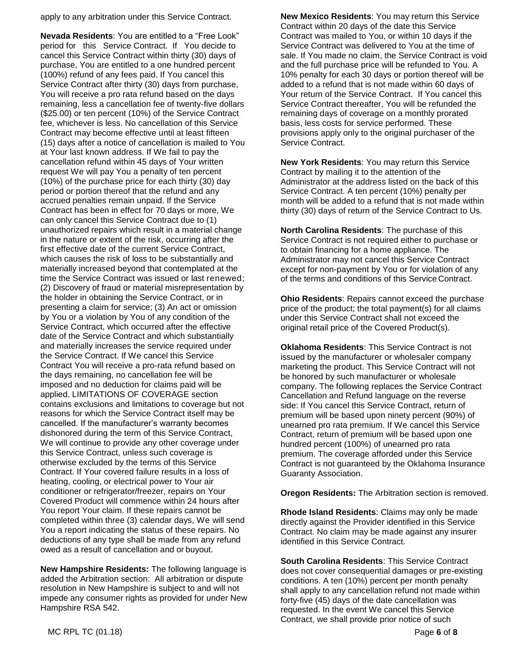apply to any arbitration under this Service Contract.

**Nevada Residents**: You are entitled to a "Free Look" period for this Service Contract. If You decide to cancel this Service Contract within thirty (30) days of purchase, You are entitled to a one hundred percent (100%) refund of any fees paid. If You cancel this Service Contract after thirty (30) days from purchase, You will receive a pro rata refund based on the days remaining, less a cancellation fee of twenty-five dollars (\$25.00) or ten percent (10%) of the Service Contract fee, whichever is less. No cancellation of this Service Contract may become effective until at least fifteen (15) days after a notice of cancellation is mailed to You at Your last known address. If We fail to pay the cancellation refund within 45 days of Your written request We will pay You a penalty of ten percent (10%) of the purchase price for each thirty (30) day period or portion thereof that the refund and any accrued penalties remain unpaid. If the Service Contract has been in effect for 70 days or more, We can only cancel this Service Contract due to (1) unauthorized repairs which result in a material change in the nature or extent of the risk, occurring after the first effective date of the current Service Contract, which causes the risk of loss to be substantially and materially increased beyond that contemplated at the time the Service Contract was issued or last renewed; (2) Discovery of fraud or material misrepresentation by the holder in obtaining the Service Contract, or in presenting a claim for service; (3) An act or omission by You or a violation by You of any condition of the Service Contract, which occurred after the effective date of the Service Contract and which substantially and materially increases the service required under the Service Contract. If We cancel this Service Contract You will receive a pro-rata refund based on the days remaining, no cancellation fee will be imposed and no deduction for claims paid will be applied. LIMITATIONS OF COVERAGE section contains exclusions and limitations to coverage but not reasons for which the Service Contract itself may be cancelled. If the manufacturer's warranty becomes dishonored during the term of this Service Contract, We will continue to provide any other coverage under this Service Contract, unless such coverage is otherwise excluded by the terms of this Service Contract. If Your covered failure results in a loss of heating, cooling, or electrical power to Your air conditioner or refrigerator/freezer, repairs on Your Covered Product will commence within 24 hours after You report Your claim. If these repairs cannot be completed within three (3) calendar days, We will send You a report indicating the status of these repairs. No deductions of any type shall be made from any refund owed as a result of cancellation and or buyout.

**New Hampshire Residents:** The following language is added the Arbitration section:All arbitration or dispute resolution in New Hampshire is subject to and will not impede any consumer rights as provided for under New Hampshire RSA 542.

**New Mexico Residents**: You may return this Service Contract within 20 days of the date this Service Contract was mailed to You, or within 10 days if the Service Contract was delivered to You at the time of sale. If You made no claim, the Service Contract is void and the full purchase price will be refunded to You. A 10% penalty for each 30 days or portion thereof will be added to a refund that is not made within 60 days of Your return of the Service Contract. If You cancel this Service Contract thereafter, You will be refunded the remaining days of coverage on a monthly prorated basis, less costs for service performed. These provisions apply only to the original purchaser of the Service Contract.

**New York Residents**: You may return this Service Contract by mailing it to the attention of the Administrator at the address listed on the back of this Service Contract. A ten percent (10%) penalty per month will be added to a refund that is not made within thirty (30) days of return of the Service Contract to Us.

**North Carolina Residents**: The purchase of this Service Contract is not required either to purchase or to obtain financing for a home appliance. The Administrator may not cancel this Service Contract except for non-payment by You or for violation of any of the terms and conditions of this Service Contract.

**Ohio Residents**: Repairs cannot exceed the purchase price of the product; the total payment(s) for all claims under this Service Contract shall not exceed the original retail price of the Covered Product(s).

**Oklahoma Residents**: This Service Contract is not issued by the manufacturer or wholesaler company marketing the product. This Service Contract will not be honored by such manufacturer or wholesale company. The following replaces the Service Contract Cancellation and Refund language on the reverse side: If You cancel this Service Contract, return of premium will be based upon ninety percent (90%) of unearned pro rata premium. If We cancel this Service Contract, return of premium will be based upon one hundred percent (100%) of unearned pro rata premium. The coverage afforded under this Service Contract is not guaranteed by the Oklahoma Insurance Guaranty Association.

**Oregon Residents:** The Arbitration section is removed.

**Rhode Island Residents**: Claims may only be made directly against the Provider identified in this Service Contract. No claim may be made against any insurer identified in this Service Contract.

**South Carolina Residents**: This Service Contract does not cover consequential damages or pre-existing conditions. A ten (10%) percent per month penalty shall apply to any cancellation refund not made within forty-five (45) days of the date cancellation was requested. In the event We cancel this Service Contract, we shall provide prior notice of such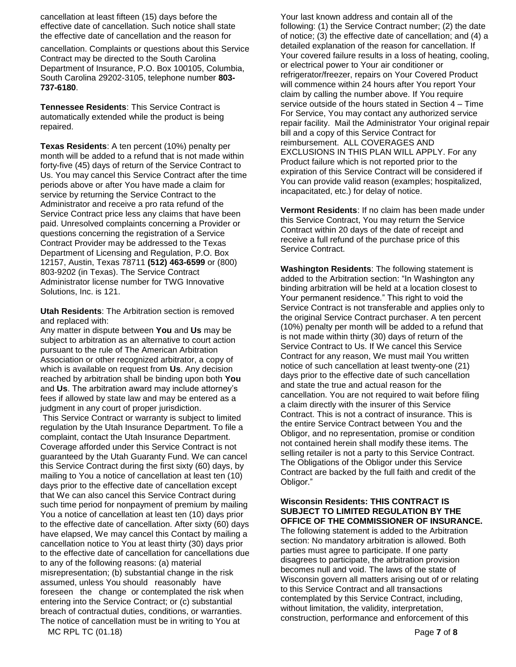cancellation at least fifteen (15) days before the effective date of cancellation. Such notice shall state the effective date of cancellation and the reason for

cancellation. Complaints or questions about this Service Contract may be directed to the South Carolina Department of Insurance, P.O. Box 100105, Columbia, South Carolina 29202-3105, telephone number **803- 737-6180**.

**Tennessee Residents**: This Service Contract is automatically extended while the product is being repaired.

**Texas Residents**: A ten percent (10%) penalty per month will be added to a refund that is not made within forty-five (45) days of return of the Service Contract to Us. You may cancel this Service Contract after the time periods above or after You have made a claim for service by returning the Service Contract to the Administrator and receive a pro rata refund of the Service Contract price less any claims that have been paid. Unresolved complaints concerning a Provider or questions concerning the registration of a Service Contract Provider may be addressed to the Texas Department of Licensing and Regulation, P.O. Box 12157, Austin, Texas 78711 **(512) 463-6599** or (800) 803-9202 (in Texas). The Service Contract Administrator license number for TWG Innovative Solutions, Inc. is 121.

**Utah Residents**: The Arbitration section is removed and replaced with:

Any matter in dispute between **You** and **Us** may be subject to arbitration as an alternative to court action pursuant to the rule of The American Arbitration Association or other recognized arbitrator, a copy of which is available on request from **Us**. Any decision reached by arbitration shall be binding upon both **You** and **Us**. The arbitration award may include attorney's fees if allowed by state law and may be entered as a judgment in any court of proper jurisdiction.

This Service Contract or warranty is subject to limited regulation by the Utah Insurance Department. To file a complaint, contact the Utah Insurance Department. Coverage afforded under this Service Contract is not guaranteed by the Utah Guaranty Fund. We can cancel this Service Contract during the first sixty (60) days, by mailing to You a notice of cancellation at least ten (10) days prior to the effective date of cancellation except that We can also cancel this Service Contract during such time period for nonpayment of premium by mailing You a notice of cancellation at least ten (10) days prior to the effective date of cancellation. After sixty (60) days have elapsed, We may cancel this Contact by mailing a cancellation notice to You at least thirty (30) days prior to the effective date of cancellation for cancellations due to any of the following reasons: (a) material misrepresentation; (b) substantial change in the risk assumed, unless You should reasonably have foreseen the change or contemplated the risk when entering into the Service Contract; or (c) substantial breach of contractual duties, conditions, or warranties. The notice of cancellation must be in writing to You at

Your last known address and contain all of the following: (1) the Service Contract number; (2) the date of notice; (3) the effective date of cancellation; and (4) a detailed explanation of the reason for cancellation. If Your covered failure results in a loss of heating, cooling, or electrical power to Your air conditioner or refrigerator/freezer, repairs on Your Covered Product will commence within 24 hours after You report Your claim by calling the number above. If You require service outside of the hours stated in Section 4 – Time For Service, You may contact any authorized service repair facility. Mail the Administrator Your original repair bill and a copy of this Service Contract for reimbursement. ALL COVERAGES AND EXCLUSIONS IN THIS PLAN WILL APPLY. For any Product failure which is not reported prior to the expiration of this Service Contract will be considered if You can provide valid reason (examples; hospitalized, incapacitated, etc.) for delay of notice.

**Vermont Residents**: If no claim has been made under this Service Contract, You may return the Service Contract within 20 days of the date of receipt and receive a full refund of the purchase price of this Service Contract.

**Washington Residents**: The following statement is added to the Arbitration section: "In Washington any binding arbitration will be held at a location closest to Your permanent residence." This right to void the Service Contract is not transferable and applies only to the original Service Contract purchaser. A ten percent (10%) penalty per month will be added to a refund that is not made within thirty (30) days of return of the Service Contract to Us. If We cancel this Service Contract for any reason, We must mail You written notice of such cancellation at least twenty-one (21) days prior to the effective date of such cancellation and state the true and actual reason for the cancellation. You are not required to wait before filing a claim directly with the insurer of this Service Contract. This is not a contract of insurance. This is the entire Service Contract between You and the Obligor, and no representation, promise or condition not contained herein shall modify these items. The selling retailer is not a party to this Service Contract. The Obligations of the Obligor under this Service Contract are backed by the full faith and credit of the Obligor."

## **Wisconsin Residents: THIS CONTRACT IS SUBJECT TO LIMITED REGULATION BY THE OFFICE OF THE COMMISSIONER OF INSURANCE.**

The following statement is added to the Arbitration section: No mandatory arbitration is allowed. Both parties must agree to participate. If one party disagrees to participate, the arbitration provision becomes null and void. The laws of the state of Wisconsin govern all matters arising out of or relating to this Service Contract and all transactions contemplated by this Service Contract, including, without limitation, the validity, interpretation, construction, performance and enforcement of this

MC RPL TC (01.18) Page **7** of **8**